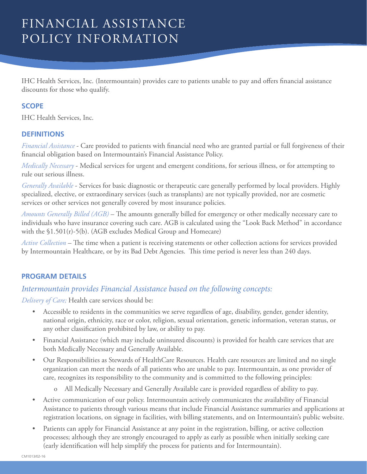# FINANCIAL ASSISTANCE POLICY INFORMATION

IHC Health Services, Inc. (Intermountain) provides care to patients unable to pay and offers financial assistance discounts for those who qualify.

#### **SCOPE**

IHC Health Services, Inc.

#### **DEFINITIONS**

*Financial Assistance* - Care provided to patients with financial need who are granted partial or full forgiveness of their financial obligation based on Intermountain's Financial Assistance Policy.

*Medically Necessary* - Medical services for urgent and emergent conditions, for serious illness, or for attempting to rule out serious illness.

*Generally Available* - Services for basic diagnostic or therapeutic care generally performed by local providers. Highly specialized, elective, or extraordinary services (such as transplants) are not typically provided, nor are cosmetic services or other services not generally covered by most insurance policies.

*Amounts Generally Billed (AGB)* – The amounts generally billed for emergency or other medically necessary care to individuals who have insurance covering such care. AGB is calculated using the "Look Back Method" in accordance with the  $$1.501(r)-5(b)$ . (AGB excludes Medical Group and Homecare)

*Active Collection* – The time when a patient is receiving statements or other collection actions for services provided by Intermountain Healthcare, or by its Bad Debt Agencies. This time period is never less than 240 days.

## **PROGRAM DETAILS**

# *Intermountain provides Financial Assistance based on the following concepts:*

*Delivery of Care;* Health care services should be:

- Accessible to residents in the communities we serve regardless of age, disability, gender, gender identity, national origin, ethnicity, race or color, religion, sexual orientation, genetic information, veteran status, or any other classification prohibited by law, or ability to pay.
- Financial Assistance (which may include uninsured discounts) is provided for health care services that are both Medically Necessary and Generally Available.
- Our Responsibilities as Stewards of HealthCare Resources. Health care resources are limited and no single organization can meet the needs of all patients who are unable to pay. Intermountain, as one provider of care, recognizes its responsibility to the community and is committed to the following principles:
	- o All Medically Necessary and Generally Available care is provided regardless of ability to pay.
- Active communication of our policy. Intermountain actively communicates the availability of Financial Assistance to patients through various means that include Financial Assistance summaries and applications at registration locations, on signage in facilities, with billing statements, and on Intermountain's public website.
- Patients can apply for Financial Assistance at any point in the registration, billing, or active collection processes; although they are strongly encouraged to apply as early as possible when initially seeking care (early identification will help simplify the process for patients and for Intermountain).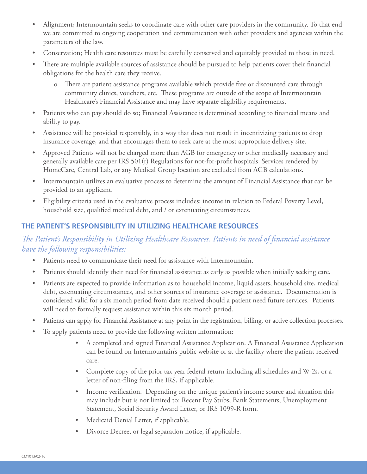- Alignment; Intermountain seeks to coordinate care with other care providers in the community. To that end we are committed to ongoing cooperation and communication with other providers and agencies within the parameters of the law.
- Conservation; Health care resources must be carefully conserved and equitably provided to those in need.
- There are multiple available sources of assistance should be pursued to help patients cover their financial obligations for the health care they receive.
	- o There are patient assistance programs available which provide free or discounted care through community clinics, vouchers, etc. These programs are outside of the scope of Intermountain Healthcare's Financial Assistance and may have separate eligibility requirements.
- Patients who can pay should do so; Financial Assistance is determined according to financial means and ability to pay.
- Assistance will be provided responsibly, in a way that does not result in incentivizing patients to drop insurance coverage, and that encourages them to seek care at the most appropriate delivery site.
- Approved Patients will not be charged more than AGB for emergency or other medically necessary and generally available care per IRS 501(r) Regulations for not-for-profit hospitals. Services rendered by HomeCare, Central Lab, or any Medical Group location are excluded from AGB calculations.
- Intermountain utilizes an evaluative process to determine the amount of Financial Assistance that can be provided to an applicant.
- Eligibility criteria used in the evaluative process includes: income in relation to Federal Poverty Level, household size, qualified medical debt, and / or extenuating circumstances.

# **THE PATIENT'S RESPONSIBILITY IN UTILIZING HEALTHCARE RESOURCES**

# *The Patient's Responsibility in Utilizing Healthcare Resources. Patients in need of financial assistance have the following responsibilities:*

- Patients need to communicate their need for assistance with Intermountain.
- Patients should identify their need for financial assistance as early as possible when initially seeking care.
- Patients are expected to provide information as to household income, liquid assets, household size, medical debt, extenuating circumstances, and other sources of insurance coverage or assistance. Documentation is considered valid for a six month period from date received should a patient need future services. Patients will need to formally request assistance within this six month period.
- Patients can apply for Financial Assistance at any point in the registration, billing, or active collection processes.
- To apply patients need to provide the following written information:
	- A completed and signed Financial Assistance Application. A Financial Assistance Application can be found on Intermountain's public website or at the facility where the patient received care.
	- Complete copy of the prior tax year federal return including all schedules and W-2s, or a letter of non-filing from the IRS, if applicable.
	- Income verification. Depending on the unique patient's income source and situation this may include but is not limited to: Recent Pay Stubs, Bank Statements, Unemployment Statement, Social Security Award Letter, or IRS 1099-R form.
	- Medicaid Denial Letter, if applicable.
	- Divorce Decree, or legal separation notice, if applicable.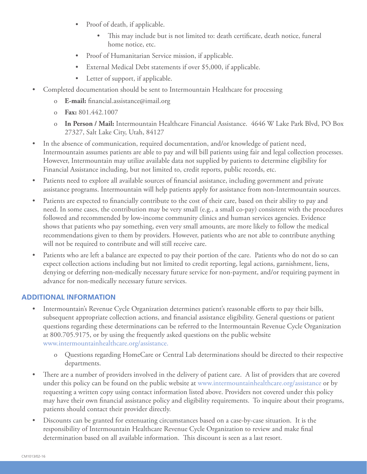- Proof of death, if applicable.
	- This may include but is not limited to: death certificate, death notice, funeral home notice, etc.
- Proof of Humanitarian Service mission, if applicable.
- External Medical Debt statements if over \$5,000, if applicable.
- Letter of support, if applicable.
- Completed documentation should be sent to Intermountain Healthcare for processing
	- o **E-mail:** financial.assistance@imail.org
	- o **Fax:** 801.442.1007
	- o **In Person / Mail:** Intermountain Healthcare Financial Assistance. 4646 W Lake Park Blvd, PO Box 27327, Salt Lake City, Utah, 84127
- In the absence of communication, required documentation, and/or knowledge of patient need, Intermountain assumes patients are able to pay and will bill patients using fair and legal collection processes. However, Intermountain may utilize available data not supplied by patients to determine eligibility for Financial Assistance including, but not limited to, credit reports, public records, etc.
- Patients need to explore all available sources of financial assistance, including government and private assistance programs. Intermountain will help patients apply for assistance from non-Intermountain sources.
- Patients are expected to financially contribute to the cost of their care, based on their ability to pay and need. In some cases, the contribution may be very small (e.g., a small co-pay) consistent with the procedures followed and recommended by low-income community clinics and human services agencies. Evidence shows that patients who pay something, even very small amounts, are more likely to follow the medical recommendations given to them by providers. However, patients who are not able to contribute anything will not be required to contribute and will still receive care.
- Patients who are left a balance are expected to pay their portion of the care. Patients who do not do so can expect collection actions including but not limited to credit reporting, legal actions, garnishment, liens, denying or deferring non-medically necessary future service for non-payment, and/or requiring payment in advance for non-medically necessary future services.

## **ADDITIONAL INFORMATION**

- Intermountain's Revenue Cycle Organization determines patient's reasonable efforts to pay their bills, subsequent appropriate collection actions, and financial assistance eligibility. General questions or patient questions regarding these determinations can be referred to the Intermountain Revenue Cycle Organization at 800.705.9175, or by using the frequently asked questions on the public website www.intermountainhealthcare.org/assistance.
	- o Questions regarding HomeCare or Central Lab determinations should be directed to their respective departments.
- There are a number of providers involved in the delivery of patient care. A list of providers that are covered under this policy can be found on the public website at www.intermountainhealthcare.org/assistance or by requesting a written copy using contact information listed above. Providers not covered under this policy may have their own financial assistance policy and eligibility requirements. To inquire about their programs, patients should contact their provider directly.
- Discounts can be granted for extenuating circumstances based on a case-by-case situation. It is the responsibility of Intermountain Healthcare Revenue Cycle Organization to review and make final determination based on all available information. This discount is seen as a last resort.